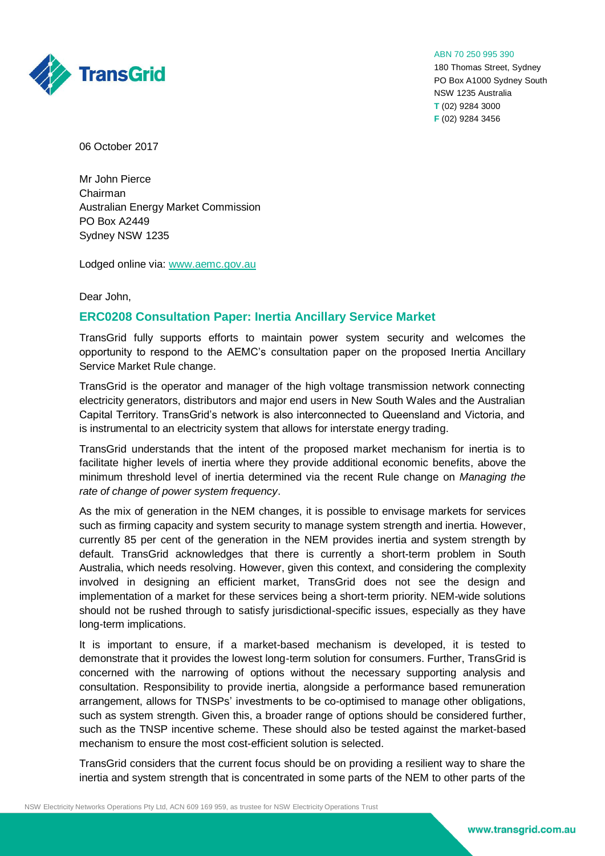

ABN 70 250 995 390

180 Thomas Street, Sydney PO Box A1000 Sydney South NSW 1235 Australia **T** (02) 9284 3000 **F** (02) 9284 3456

06 October 2017

Mr John Pierce Chairman Australian Energy Market Commission PO Box A2449 Sydney NSW 1235

Lodged online via: [www.aemc.gov.au](http://www.aemc.gov.au/)

Dear John,

## **ERC0208 Consultation Paper: Inertia Ancillary Service Market**

TransGrid fully supports efforts to maintain power system security and welcomes the opportunity to respond to the AEMC's consultation paper on the proposed Inertia Ancillary Service Market Rule change.

TransGrid is the operator and manager of the high voltage transmission network connecting electricity generators, distributors and major end users in New South Wales and the Australian Capital Territory. TransGrid's network is also interconnected to Queensland and Victoria, and is instrumental to an electricity system that allows for interstate energy trading.

TransGrid understands that the intent of the proposed market mechanism for inertia is to facilitate higher levels of inertia where they provide additional economic benefits, above the minimum threshold level of inertia determined via the recent Rule change on *Managing the rate of change of power system frequency*.

As the mix of generation in the NEM changes, it is possible to envisage markets for services such as firming capacity and system security to manage system strength and inertia. However, currently 85 per cent of the generation in the NEM provides inertia and system strength by default. TransGrid acknowledges that there is currently a short-term problem in South Australia, which needs resolving. However, given this context, and considering the complexity involved in designing an efficient market, TransGrid does not see the design and implementation of a market for these services being a short-term priority. NEM-wide solutions should not be rushed through to satisfy jurisdictional-specific issues, especially as they have long-term implications.

It is important to ensure, if a market-based mechanism is developed, it is tested to demonstrate that it provides the lowest long-term solution for consumers. Further, TransGrid is concerned with the narrowing of options without the necessary supporting analysis and consultation. Responsibility to provide inertia, alongside a performance based remuneration arrangement, allows for TNSPs' investments to be co-optimised to manage other obligations, such as system strength. Given this, a broader range of options should be considered further, such as the TNSP incentive scheme. These should also be tested against the market-based mechanism to ensure the most cost-efficient solution is selected.

TransGrid considers that the current focus should be on providing a resilient way to share the inertia and system strength that is concentrated in some parts of the NEM to other parts of the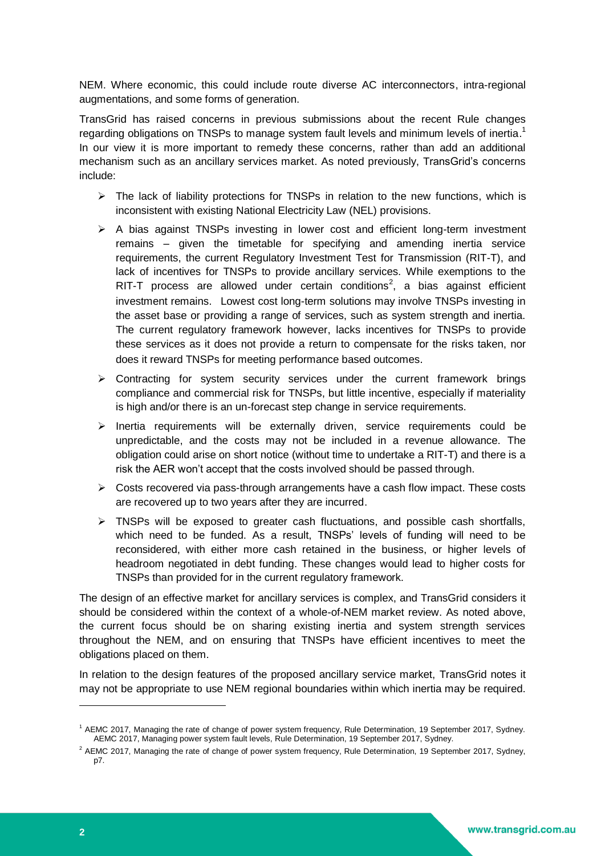NEM. Where economic, this could include route diverse AC interconnectors, intra-regional augmentations, and some forms of generation.

TransGrid has raised concerns in previous submissions about the recent Rule changes regarding obligations on TNSPs to manage system fault levels and minimum levels of inertia.<sup>1</sup> In our view it is more important to remedy these concerns, rather than add an additional mechanism such as an ancillary services market. As noted previously, TransGrid's concerns include:

- $\triangleright$  The lack of liability protections for TNSPs in relation to the new functions, which is inconsistent with existing National Electricity Law (NEL) provisions.
- $\triangleright$  A bias against TNSPs investing in lower cost and efficient long-term investment remains – given the timetable for specifying and amending inertia service requirements, the current Regulatory Investment Test for Transmission (RIT-T), and lack of incentives for TNSPs to provide ancillary services. While exemptions to the RIT-T process are allowed under certain conditions<sup>2</sup>, a bias against efficient investment remains. Lowest cost long-term solutions may involve TNSPs investing in the asset base or providing a range of services, such as system strength and inertia. The current regulatory framework however, lacks incentives for TNSPs to provide these services as it does not provide a return to compensate for the risks taken, nor does it reward TNSPs for meeting performance based outcomes.
- $\triangleright$  Contracting for system security services under the current framework brings compliance and commercial risk for TNSPs, but little incentive, especially if materiality is high and/or there is an un-forecast step change in service requirements.
- $\triangleright$  Inertia requirements will be externally driven, service requirements could be unpredictable, and the costs may not be included in a revenue allowance. The obligation could arise on short notice (without time to undertake a RIT-T) and there is a risk the AER won't accept that the costs involved should be passed through.
- $\triangleright$  Costs recovered via pass-through arrangements have a cash flow impact. These costs are recovered up to two years after they are incurred.
- $\triangleright$  TNSPs will be exposed to greater cash fluctuations, and possible cash shortfalls, which need to be funded. As a result, TNSPs' levels of funding will need to be reconsidered, with either more cash retained in the business, or higher levels of headroom negotiated in debt funding. These changes would lead to higher costs for TNSPs than provided for in the current regulatory framework.

The design of an effective market for ancillary services is complex, and TransGrid considers it should be considered within the context of a whole-of-NEM market review. As noted above, the current focus should be on sharing existing inertia and system strength services throughout the NEM, and on ensuring that TNSPs have efficient incentives to meet the obligations placed on them.

In relation to the design features of the proposed ancillary service market, TransGrid notes it may not be appropriate to use NEM regional boundaries within which inertia may be required.

-

<sup>1</sup> AEMC 2017, Managing the rate of change of power system frequency, Rule Determination, 19 September 2017, Sydney. AEMC 2017, Managing power system fault levels, Rule Determination, 19 September 2017, Sydney.

<sup>&</sup>lt;sup>2</sup> AEMC 2017, Managing the rate of change of power system frequency, Rule Determination, 19 September 2017, Sydney, p7.